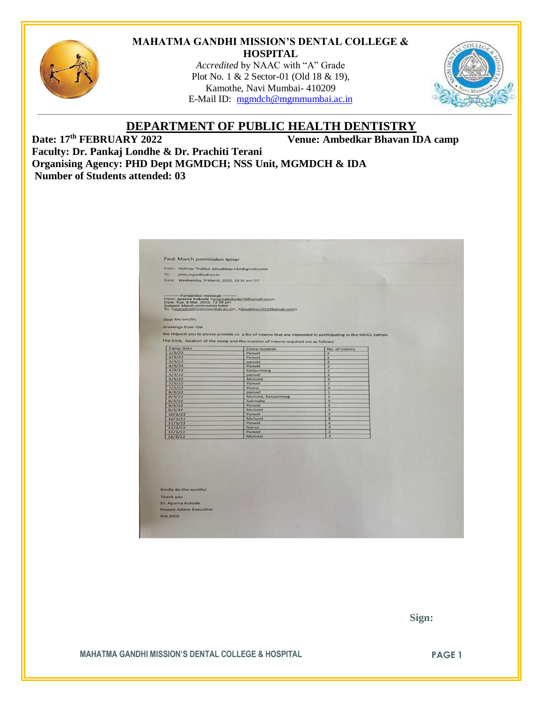

#### **MAHATMA GANDHI MISSION'S DENTAL COLLEGE & HOSPITAL**

*Accredited* by NAAC with "A" Grade Plot No. 1 & 2 Sector-01 (Old 18 & 19), Kamothe, Navi Mumbai- 410209 E-Mail ID: [mgmdch@mgmmumbai.ac.in](mailto:mgmdch@mgmmumbai.ac.in)



# **DEPARTMENT OF PUBLIC HEALTH DENTISTRY** Date: 17<sup>th</sup> FEBRUARY 2022

**Venue: Ambedkar Bhavan <b>IDA** camp

**Faculty: Dr. Pankaj Londhe & Dr. Prachiti Terani Organising Agency: PHD Dept MGMDCH; NSS Unit, MGMDCH & IDA Number of Students attended: 03**

| From: Vaibhav Thakkar (drvaibhav.h32@gmail.com)<br>To:<br>phd_mgm@yahoo.in<br>Date: Wednesday, 9 March, 2022, 10:36 am IST<br>- Forwarded message<br>From: aparna kokode <aparnakokode10@gmail.com><br/>Date: Tue, 8 Mar, 2022, 12:58 pm<br/>Subject: March permission letter<br/>To: <mgmdch@mgmmumbai.ac.in>, <drvaibhav.h32@gmail.com><br/>Greetings from IDA<br/>We request you to please provide us a list of interns that are interested in participating in the MOCC camps.<br/>The Date, location of the camp and the number of interns required are as follows:<br/><b>Camp Date</b><br/><b>Camp location</b><br/>No. of interns<br/>1/3/22<br/>Panvel<br/><math>\overline{2}</math><br/>2/3/22<br/>Panvel<br/><math>\overline{z}</math><br/>3/3/22<br/>panvel<br/><math>\overline{z}</math><br/>4/3/22<br/><math>\overline{2}</math><br/>Panvel<br/>4/3/22<br/>Kanjurmarg<br/><math>\overline{\mathbf{z}}</math><br/>5/3/22<br/>panvel<br/><math>\overline{2}</math><br/>5/3/22<br/>Mulund<br/><math>\overline{\mathbf{3}}</math><br/>7/3/22<br/><math>\overline{z}</math><br/>Panvel<br/>7/3/22<br/>Powai<br/><math>\overline{\mathbf{3}}</math><br/>8/3/22<br/>panvel<br/><math>\mathbf{1}</math><br/>8/3/22<br/>Mulund, Kanjurmarg<br/><math>\overline{2}</math><br/>8/3/22<br/>Sakinaka<br/>3<br/>Panvel<br/><math>\overline{z}</math><br/>9/3/22<br/>Mulund<br/><math>\overline{\mathbf{3}}</math><br/>9/3/22<br/><math>\overline{z}</math><br/>Panvel<br/>10/3/22<br/>Mulund<br/>3<br/>10/3/22<br/>Panvel<br/><math>\overline{\mathbf{z}}</math><br/>11/3/22<br/><math>\overline{\mathbf{3}}</math><br/>Nahur<br/>11/3/22<br/><math>\overline{2}</math><br/>Panvel<br/>15/3/22<br/><math>\overline{\mathbf{3}}</math><br/>Mulund<br/>15/3/22</drvaibhav.h32@gmail.com></mgmdch@mgmmumbai.ac.in></aparnakokode10@gmail.com> | <b>Fwd: March permission letter</b> |  |  |
|--------------------------------------------------------------------------------------------------------------------------------------------------------------------------------------------------------------------------------------------------------------------------------------------------------------------------------------------------------------------------------------------------------------------------------------------------------------------------------------------------------------------------------------------------------------------------------------------------------------------------------------------------------------------------------------------------------------------------------------------------------------------------------------------------------------------------------------------------------------------------------------------------------------------------------------------------------------------------------------------------------------------------------------------------------------------------------------------------------------------------------------------------------------------------------------------------------------------------------------------------------------------------------------------------------------------------------------------------------------------------------------------------------------------------------------------------------------------------------------------------------------------------------------------------------------------------------------------------------------------------------------------------------------------------------------------------------------------------------------------------------------------------------------------------------------------------------------------|-------------------------------------|--|--|
|                                                                                                                                                                                                                                                                                                                                                                                                                                                                                                                                                                                                                                                                                                                                                                                                                                                                                                                                                                                                                                                                                                                                                                                                                                                                                                                                                                                                                                                                                                                                                                                                                                                                                                                                                                                                                                            |                                     |  |  |
|                                                                                                                                                                                                                                                                                                                                                                                                                                                                                                                                                                                                                                                                                                                                                                                                                                                                                                                                                                                                                                                                                                                                                                                                                                                                                                                                                                                                                                                                                                                                                                                                                                                                                                                                                                                                                                            |                                     |  |  |
|                                                                                                                                                                                                                                                                                                                                                                                                                                                                                                                                                                                                                                                                                                                                                                                                                                                                                                                                                                                                                                                                                                                                                                                                                                                                                                                                                                                                                                                                                                                                                                                                                                                                                                                                                                                                                                            |                                     |  |  |
|                                                                                                                                                                                                                                                                                                                                                                                                                                                                                                                                                                                                                                                                                                                                                                                                                                                                                                                                                                                                                                                                                                                                                                                                                                                                                                                                                                                                                                                                                                                                                                                                                                                                                                                                                                                                                                            |                                     |  |  |
|                                                                                                                                                                                                                                                                                                                                                                                                                                                                                                                                                                                                                                                                                                                                                                                                                                                                                                                                                                                                                                                                                                                                                                                                                                                                                                                                                                                                                                                                                                                                                                                                                                                                                                                                                                                                                                            | Dear Ma'am/Sir,                     |  |  |
|                                                                                                                                                                                                                                                                                                                                                                                                                                                                                                                                                                                                                                                                                                                                                                                                                                                                                                                                                                                                                                                                                                                                                                                                                                                                                                                                                                                                                                                                                                                                                                                                                                                                                                                                                                                                                                            |                                     |  |  |
|                                                                                                                                                                                                                                                                                                                                                                                                                                                                                                                                                                                                                                                                                                                                                                                                                                                                                                                                                                                                                                                                                                                                                                                                                                                                                                                                                                                                                                                                                                                                                                                                                                                                                                                                                                                                                                            |                                     |  |  |
|                                                                                                                                                                                                                                                                                                                                                                                                                                                                                                                                                                                                                                                                                                                                                                                                                                                                                                                                                                                                                                                                                                                                                                                                                                                                                                                                                                                                                                                                                                                                                                                                                                                                                                                                                                                                                                            |                                     |  |  |
|                                                                                                                                                                                                                                                                                                                                                                                                                                                                                                                                                                                                                                                                                                                                                                                                                                                                                                                                                                                                                                                                                                                                                                                                                                                                                                                                                                                                                                                                                                                                                                                                                                                                                                                                                                                                                                            |                                     |  |  |
|                                                                                                                                                                                                                                                                                                                                                                                                                                                                                                                                                                                                                                                                                                                                                                                                                                                                                                                                                                                                                                                                                                                                                                                                                                                                                                                                                                                                                                                                                                                                                                                                                                                                                                                                                                                                                                            |                                     |  |  |
|                                                                                                                                                                                                                                                                                                                                                                                                                                                                                                                                                                                                                                                                                                                                                                                                                                                                                                                                                                                                                                                                                                                                                                                                                                                                                                                                                                                                                                                                                                                                                                                                                                                                                                                                                                                                                                            |                                     |  |  |
|                                                                                                                                                                                                                                                                                                                                                                                                                                                                                                                                                                                                                                                                                                                                                                                                                                                                                                                                                                                                                                                                                                                                                                                                                                                                                                                                                                                                                                                                                                                                                                                                                                                                                                                                                                                                                                            |                                     |  |  |
|                                                                                                                                                                                                                                                                                                                                                                                                                                                                                                                                                                                                                                                                                                                                                                                                                                                                                                                                                                                                                                                                                                                                                                                                                                                                                                                                                                                                                                                                                                                                                                                                                                                                                                                                                                                                                                            |                                     |  |  |
|                                                                                                                                                                                                                                                                                                                                                                                                                                                                                                                                                                                                                                                                                                                                                                                                                                                                                                                                                                                                                                                                                                                                                                                                                                                                                                                                                                                                                                                                                                                                                                                                                                                                                                                                                                                                                                            |                                     |  |  |
|                                                                                                                                                                                                                                                                                                                                                                                                                                                                                                                                                                                                                                                                                                                                                                                                                                                                                                                                                                                                                                                                                                                                                                                                                                                                                                                                                                                                                                                                                                                                                                                                                                                                                                                                                                                                                                            |                                     |  |  |
|                                                                                                                                                                                                                                                                                                                                                                                                                                                                                                                                                                                                                                                                                                                                                                                                                                                                                                                                                                                                                                                                                                                                                                                                                                                                                                                                                                                                                                                                                                                                                                                                                                                                                                                                                                                                                                            |                                     |  |  |
|                                                                                                                                                                                                                                                                                                                                                                                                                                                                                                                                                                                                                                                                                                                                                                                                                                                                                                                                                                                                                                                                                                                                                                                                                                                                                                                                                                                                                                                                                                                                                                                                                                                                                                                                                                                                                                            |                                     |  |  |
|                                                                                                                                                                                                                                                                                                                                                                                                                                                                                                                                                                                                                                                                                                                                                                                                                                                                                                                                                                                                                                                                                                                                                                                                                                                                                                                                                                                                                                                                                                                                                                                                                                                                                                                                                                                                                                            |                                     |  |  |
|                                                                                                                                                                                                                                                                                                                                                                                                                                                                                                                                                                                                                                                                                                                                                                                                                                                                                                                                                                                                                                                                                                                                                                                                                                                                                                                                                                                                                                                                                                                                                                                                                                                                                                                                                                                                                                            |                                     |  |  |
|                                                                                                                                                                                                                                                                                                                                                                                                                                                                                                                                                                                                                                                                                                                                                                                                                                                                                                                                                                                                                                                                                                                                                                                                                                                                                                                                                                                                                                                                                                                                                                                                                                                                                                                                                                                                                                            |                                     |  |  |
|                                                                                                                                                                                                                                                                                                                                                                                                                                                                                                                                                                                                                                                                                                                                                                                                                                                                                                                                                                                                                                                                                                                                                                                                                                                                                                                                                                                                                                                                                                                                                                                                                                                                                                                                                                                                                                            |                                     |  |  |
|                                                                                                                                                                                                                                                                                                                                                                                                                                                                                                                                                                                                                                                                                                                                                                                                                                                                                                                                                                                                                                                                                                                                                                                                                                                                                                                                                                                                                                                                                                                                                                                                                                                                                                                                                                                                                                            |                                     |  |  |
|                                                                                                                                                                                                                                                                                                                                                                                                                                                                                                                                                                                                                                                                                                                                                                                                                                                                                                                                                                                                                                                                                                                                                                                                                                                                                                                                                                                                                                                                                                                                                                                                                                                                                                                                                                                                                                            |                                     |  |  |
|                                                                                                                                                                                                                                                                                                                                                                                                                                                                                                                                                                                                                                                                                                                                                                                                                                                                                                                                                                                                                                                                                                                                                                                                                                                                                                                                                                                                                                                                                                                                                                                                                                                                                                                                                                                                                                            |                                     |  |  |
|                                                                                                                                                                                                                                                                                                                                                                                                                                                                                                                                                                                                                                                                                                                                                                                                                                                                                                                                                                                                                                                                                                                                                                                                                                                                                                                                                                                                                                                                                                                                                                                                                                                                                                                                                                                                                                            |                                     |  |  |
|                                                                                                                                                                                                                                                                                                                                                                                                                                                                                                                                                                                                                                                                                                                                                                                                                                                                                                                                                                                                                                                                                                                                                                                                                                                                                                                                                                                                                                                                                                                                                                                                                                                                                                                                                                                                                                            |                                     |  |  |
|                                                                                                                                                                                                                                                                                                                                                                                                                                                                                                                                                                                                                                                                                                                                                                                                                                                                                                                                                                                                                                                                                                                                                                                                                                                                                                                                                                                                                                                                                                                                                                                                                                                                                                                                                                                                                                            |                                     |  |  |
|                                                                                                                                                                                                                                                                                                                                                                                                                                                                                                                                                                                                                                                                                                                                                                                                                                                                                                                                                                                                                                                                                                                                                                                                                                                                                                                                                                                                                                                                                                                                                                                                                                                                                                                                                                                                                                            |                                     |  |  |
|                                                                                                                                                                                                                                                                                                                                                                                                                                                                                                                                                                                                                                                                                                                                                                                                                                                                                                                                                                                                                                                                                                                                                                                                                                                                                                                                                                                                                                                                                                                                                                                                                                                                                                                                                                                                                                            |                                     |  |  |
|                                                                                                                                                                                                                                                                                                                                                                                                                                                                                                                                                                                                                                                                                                                                                                                                                                                                                                                                                                                                                                                                                                                                                                                                                                                                                                                                                                                                                                                                                                                                                                                                                                                                                                                                                                                                                                            |                                     |  |  |
|                                                                                                                                                                                                                                                                                                                                                                                                                                                                                                                                                                                                                                                                                                                                                                                                                                                                                                                                                                                                                                                                                                                                                                                                                                                                                                                                                                                                                                                                                                                                                                                                                                                                                                                                                                                                                                            |                                     |  |  |
|                                                                                                                                                                                                                                                                                                                                                                                                                                                                                                                                                                                                                                                                                                                                                                                                                                                                                                                                                                                                                                                                                                                                                                                                                                                                                                                                                                                                                                                                                                                                                                                                                                                                                                                                                                                                                                            |                                     |  |  |
|                                                                                                                                                                                                                                                                                                                                                                                                                                                                                                                                                                                                                                                                                                                                                                                                                                                                                                                                                                                                                                                                                                                                                                                                                                                                                                                                                                                                                                                                                                                                                                                                                                                                                                                                                                                                                                            |                                     |  |  |
|                                                                                                                                                                                                                                                                                                                                                                                                                                                                                                                                                                                                                                                                                                                                                                                                                                                                                                                                                                                                                                                                                                                                                                                                                                                                                                                                                                                                                                                                                                                                                                                                                                                                                                                                                                                                                                            |                                     |  |  |
|                                                                                                                                                                                                                                                                                                                                                                                                                                                                                                                                                                                                                                                                                                                                                                                                                                                                                                                                                                                                                                                                                                                                                                                                                                                                                                                                                                                                                                                                                                                                                                                                                                                                                                                                                                                                                                            |                                     |  |  |
|                                                                                                                                                                                                                                                                                                                                                                                                                                                                                                                                                                                                                                                                                                                                                                                                                                                                                                                                                                                                                                                                                                                                                                                                                                                                                                                                                                                                                                                                                                                                                                                                                                                                                                                                                                                                                                            |                                     |  |  |
|                                                                                                                                                                                                                                                                                                                                                                                                                                                                                                                                                                                                                                                                                                                                                                                                                                                                                                                                                                                                                                                                                                                                                                                                                                                                                                                                                                                                                                                                                                                                                                                                                                                                                                                                                                                                                                            |                                     |  |  |
|                                                                                                                                                                                                                                                                                                                                                                                                                                                                                                                                                                                                                                                                                                                                                                                                                                                                                                                                                                                                                                                                                                                                                                                                                                                                                                                                                                                                                                                                                                                                                                                                                                                                                                                                                                                                                                            |                                     |  |  |
|                                                                                                                                                                                                                                                                                                                                                                                                                                                                                                                                                                                                                                                                                                                                                                                                                                                                                                                                                                                                                                                                                                                                                                                                                                                                                                                                                                                                                                                                                                                                                                                                                                                                                                                                                                                                                                            |                                     |  |  |
| Kindly do the needful                                                                                                                                                                                                                                                                                                                                                                                                                                                                                                                                                                                                                                                                                                                                                                                                                                                                                                                                                                                                                                                                                                                                                                                                                                                                                                                                                                                                                                                                                                                                                                                                                                                                                                                                                                                                                      | <b>Thank you</b>                    |  |  |
|                                                                                                                                                                                                                                                                                                                                                                                                                                                                                                                                                                                                                                                                                                                                                                                                                                                                                                                                                                                                                                                                                                                                                                                                                                                                                                                                                                                                                                                                                                                                                                                                                                                                                                                                                                                                                                            |                                     |  |  |
|                                                                                                                                                                                                                                                                                                                                                                                                                                                                                                                                                                                                                                                                                                                                                                                                                                                                                                                                                                                                                                                                                                                                                                                                                                                                                                                                                                                                                                                                                                                                                                                                                                                                                                                                                                                                                                            |                                     |  |  |
| Dr. Aparna Kokode                                                                                                                                                                                                                                                                                                                                                                                                                                                                                                                                                                                                                                                                                                                                                                                                                                                                                                                                                                                                                                                                                                                                                                                                                                                                                                                                                                                                                                                                                                                                                                                                                                                                                                                                                                                                                          | <b>Project Admin Executive</b>      |  |  |
|                                                                                                                                                                                                                                                                                                                                                                                                                                                                                                                                                                                                                                                                                                                                                                                                                                                                                                                                                                                                                                                                                                                                                                                                                                                                                                                                                                                                                                                                                                                                                                                                                                                                                                                                                                                                                                            |                                     |  |  |
| IDA (HO)                                                                                                                                                                                                                                                                                                                                                                                                                                                                                                                                                                                                                                                                                                                                                                                                                                                                                                                                                                                                                                                                                                                                                                                                                                                                                                                                                                                                                                                                                                                                                                                                                                                                                                                                                                                                                                   |                                     |  |  |

 **Sign:**

**MAHATMA GANDHI MISSION'S DENTAL COLLEGE & HOSPITAL PAGE 1**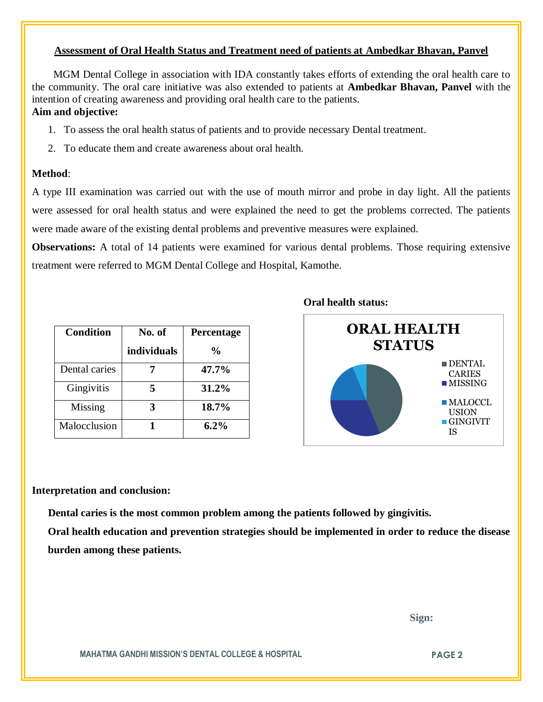## **Assessment of Oral Health Status and Treatment need of patients at Ambedkar Bhavan, Panvel**

 MGM Dental College in association with IDA constantly takes efforts of extending the oral health care to the community. The oral care initiative was also extended to patients at **Ambedkar Bhavan, Panvel** with the intention of creating awareness and providing oral health care to the patients. **Aim and objective:** 

## 1. To assess the oral health status of patients and to provide necessary Dental treatment.

2. To educate them and create awareness about oral health.

#### **Method**:

A type III examination was carried out with the use of mouth mirror and probe in day light. All the patients were assessed for oral health status and were explained the need to get the problems corrected. The patients were made aware of the existing dental problems and preventive measures were explained.

**Observations:** A total of 14 patients were examined for various dental problems. Those requiring extensive treatment were referred to MGM Dental College and Hospital, Kamothe.

| <b>Condition</b> | No. of      | Percentage     |
|------------------|-------------|----------------|
|                  | individuals | $\frac{6}{10}$ |
| Dental caries    |             | 47.7%          |
| Gingivitis       |             | 31.2%          |
| Missing          |             | 18.7%          |
| Malocclusion     |             | $6.2\%$        |





#### **Interpretation and conclusion:**

 **Dental caries is the most common problem among the patients followed by gingivitis.**

**Oral health education and prevention strategies should be implemented in order to reduce the disease burden among these patients.**

 **Sign:**

**MAHATMA GANDHI MISSION'S DENTAL COLLEGE & HOSPITAL PAGE 2**